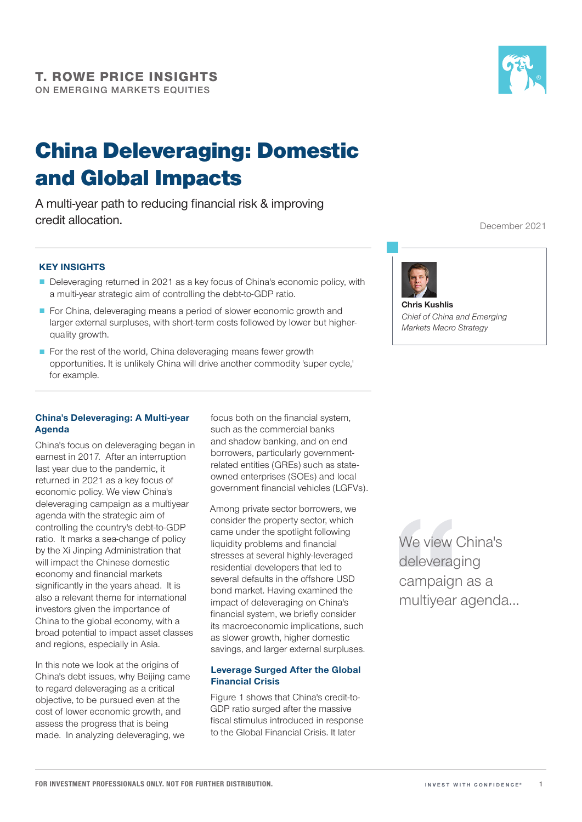

A multi-year path to reducing financial risk & improving credit allocation.



December 2021

#### KEY INSIGHTS

- Deleveraging returned in 2021 as a key focus of China's economic policy, with a multi-year strategic aim of controlling the debt-to-GDP ratio.
- For China, deleveraging means a period of slower economic growth and larger external surpluses, with short-term costs followed by lower but higherquality growth.
- For the rest of the world, China deleveraging means fewer growth opportunities. It is unlikely China will drive another commodity 'super cycle,' for example.

#### China's Deleveraging: A Multi-year Agenda

China's focus on deleveraging began in earnest in 2017. After an interruption last year due to the pandemic, it returned in 2021 as a key focus of economic policy. We view China's deleveraging campaign as a multiyear agenda with the strategic aim of controlling the country's debt-to-GDP ratio. It marks a sea-change of policy by the Xi Jinping Administration that will impact the Chinese domestic economy and financial markets significantly in the years ahead. It is also a relevant theme for international investors given the importance of China to the global economy, with a broad potential to impact asset classes and regions, especially in Asia.

In this note we look at the origins of China's debt issues, why Beijing came to regard deleveraging as a critical objective, to be pursued even at the cost of lower economic growth, and assess the progress that is being made. In analyzing deleveraging, we

focus both on the financial system, such as the commercial banks and shadow banking, and on end borrowers, particularly governmentrelated entities (GREs) such as stateowned enterprises (SOEs) and local government financial vehicles (LGFVs).

Among private sector borrowers, we consider the property sector, which came under the spotlight following liquidity problems and financial stresses at several highly-leveraged residential developers that led to several defaults in the offshore USD bond market. Having examined the impact of deleveraging on China's financial system, we briefly consider its macroeconomic implications, such as slower growth, higher domestic savings, and larger external surpluses.

#### Leverage Surged After the Global Financial Crisis

Figure 1 shows that China's credit-to-GDP ratio surged after the massive fiscal stimulus introduced in response to the Global Financial Crisis. It later

We view China's deleveraging campaign as a multiyear agenda…



Chris Kushlis *Chief of China and Emerging Markets Macro Strategy*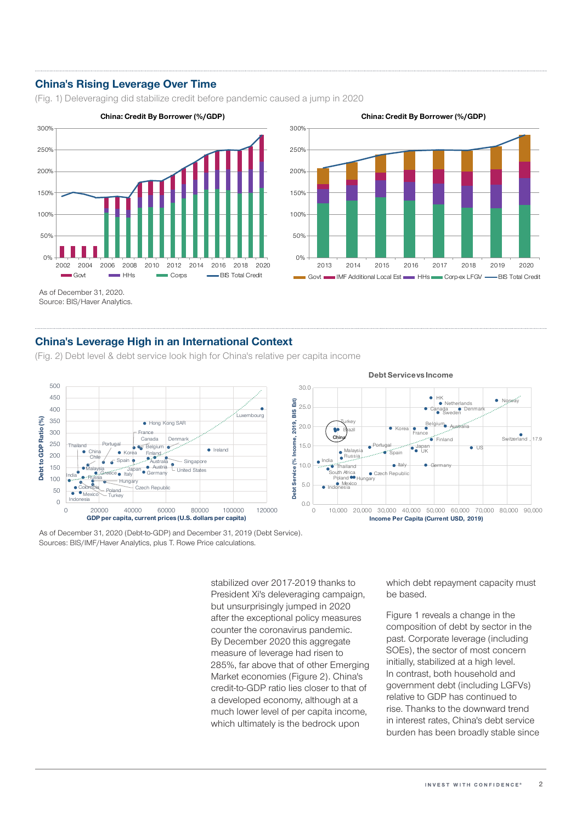## China's Rising Leverage Over Time

(Fig. 1) Deleveraging did stabilize credit before pandemic caused a jump in 2020



China: Credit By Borrower (%/GDP)



As of December 31, 2020.

Source: BIS/Haver Analytics.

### China's Leverage High in an International Context

(Fig. 2) Debt level & debt service look high for China's relative per capita income



As of December 31, 2020 (Debt-to-GDP) and December 31, 2019 (Debt Service). Sources: BIS/IMF/Haver Analytics, plus T. Rowe Price calculations.

> stabilized over 2017-2019 thanks to President Xi's deleveraging campaign, but unsurprisingly jumped in 2020 after the exceptional policy measures counter the coronavirus pandemic. By December 2020 this aggregate measure of leverage had risen to 285%, far above that of other Emerging Market economies (Figure 2). China's credit-to-GDP ratio lies closer to that of a developed economy, although at a much lower level of per capita income, which ultimately is the bedrock upon

which debt repayment capacity must be based.

Figure 1 reveals a change in the composition of debt by sector in the past. Corporate leverage (including SOEs), the sector of most concern initially, stabilized at a high level. In contrast, both household and government debt (including LGFVs) relative to GDP has continued to rise. Thanks to the downward trend in interest rates, China's debt service burden has been broadly stable since



Czech Republic

Italy

Korea

Germany India

Portugal **Spain** 

**Brazil** China

Turkey

Malaysia Russia

South Africa<br>Poland <sup>60</sup> Hungary

Thailand

**O** Mexico<br>Indonesia

0.0 5.0 10.0

15.0 20.0

Debt Service (% Income, 2019, BIS Est)

 $\frac{1}{26}$ 

Debt Service

ncome

E8)  $\frac{9}{21}$ 

2019,

25.0 30.0

France

Tik

0 10,000 20,000 30,000 40,000 50,000 60,000 70,000 80,000 90,000

Income Per Capita (Current USD, 2019)

Belgium Australia Canada

Sweden

us<br>UK ● US

Finland

HK

Denmark

Netherlands Norway

 $\bullet$  , 17.9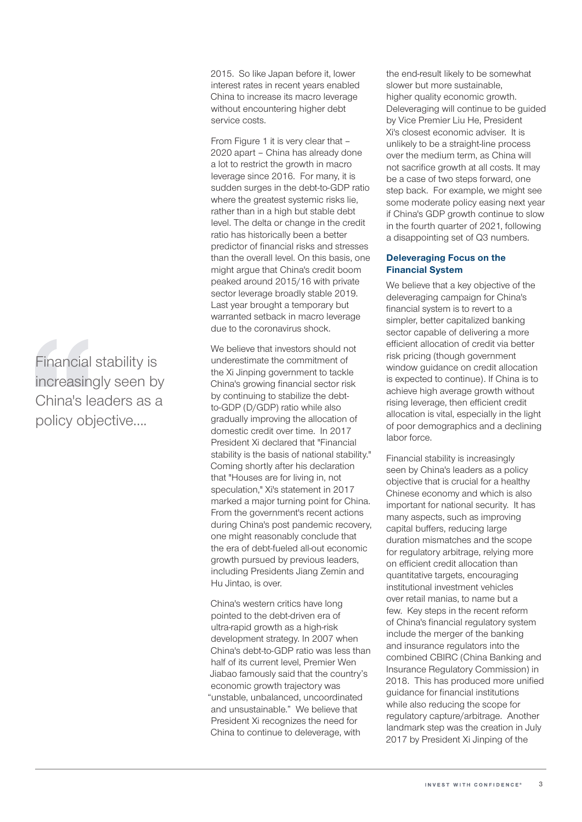Financial stability is increasingly seen by China's leaders as a policy objective….

2015. So like Japan before it, lower interest rates in recent years enabled China to increase its macro leverage without encountering higher debt service costs.

From Figure 1 it is very clear that – 2020 apart – China has already done a lot to restrict the growth in macro leverage since 2016. For many, it is sudden surges in the debt-to-GDP ratio where the greatest systemic risks lie, rather than in a high but stable debt level. The delta or change in the credit ratio has historically been a better predictor of financial risks and stresses than the overall level. On this basis, one might argue that China's credit boom peaked around 2015/16 with private sector leverage broadly stable 2019. Last year brought a temporary but warranted setback in macro leverage due to the coronavirus shock.

We believe that investors should not underestimate the commitment of the Xi Jinping government to tackle China's growing financial sector risk by continuing to stabilize the debtto-GDP (D/GDP) ratio while also gradually improving the allocation of domestic credit over time. In 2017 President Xi declared that "Financial stability is the basis of national stability." Coming shortly after his declaration that "Houses are for living in, not speculation," Xi's statement in 2017 marked a major turning point for China. From the government's recent actions during China's post pandemic recovery, one might reasonably conclude that the era of debt-fueled all-out economic growth pursued by previous leaders, including Presidents Jiang Zemin and Hu Jintao, is over.

China's western critics have long pointed to the debt-driven era of ultra-rapid growth as a high-risk development strategy. In 2007 when China's debt-to-GDP ratio was less than half of its current level, Premier Wen Jiabao famously said that the country's economic growth trajectory was "unstable, unbalanced, uncoordinated and unsustainable." We believe that President Xi recognizes the need for China to continue to deleverage, with

the end-result likely to be somewhat slower but more sustainable, higher quality economic growth. Deleveraging will continue to be guided by Vice Premier Liu He, President Xi's closest economic adviser. It is unlikely to be a straight-line process over the medium term, as China will not sacrifice growth at all costs. It may be a case of two steps forward, one step back. For example, we might see some moderate policy easing next year if China's GDP growth continue to slow in the fourth quarter of 2021, following a disappointing set of Q3 numbers.

#### Deleveraging Focus on the Financial System

We believe that a key objective of the deleveraging campaign for China's financial system is to revert to a simpler, better capitalized banking sector capable of delivering a more efficient allocation of credit via better risk pricing (though government window guidance on credit allocation is expected to continue). If China is to achieve high average growth without rising leverage, then efficient credit allocation is vital, especially in the light of poor demographics and a declining labor force.

Financial stability is increasingly seen by China's leaders as a policy objective that is crucial for a healthy Chinese economy and which is also important for national security. It has many aspects, such as improving capital buffers, reducing large duration mismatches and the scope for regulatory arbitrage, relying more on efficient credit allocation than quantitative targets, encouraging institutional investment vehicles over retail manias, to name but a few. Key steps in the recent reform of China's financial regulatory system include the merger of the banking and insurance regulators into the combined CBIRC (China Banking and Insurance Regulatory Commission) in 2018. This has produced more unified guidance for financial institutions while also reducing the scope for regulatory capture/arbitrage. Another landmark step was the creation in July 2017 by President Xi Jinping of the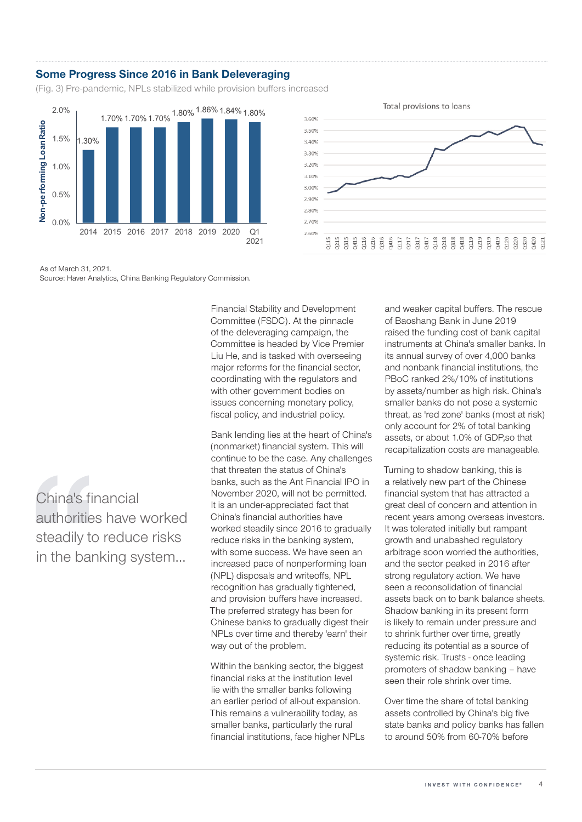#### Some Progress Since 2016 in Bank Deleveraging

(Fig. 3) Pre-pandemic, NPLs stabilized while provision buffers increased



As of March 31, 2021. Source: Haver Analytics, China Banking Regulatory Commission.

China's financial authorities have worked steadily to reduce risks in the banking system…

Financial Stability and Development Committee (FSDC). At the pinnacle of the deleveraging campaign, the Committee is headed by Vice Premier Liu He, and is tasked with overseeing major reforms for the financial sector, coordinating with the regulators and with other government bodies on issues concerning monetary policy, fiscal policy, and industrial policy.

Bank lending lies at the heart of China's (nonmarket) financial system. This will continue to be the case. Any challenges that threaten the status of China's banks, such as the Ant Financial IPO in November 2020, will not be permitted. It is an under-appreciated fact that China's financial authorities have worked steadily since 2016 to gradually reduce risks in the banking system, with some success. We have seen an increased pace of nonperforming loan (NPL) disposals and writeoffs, NPL recognition has gradually tightened, and provision buffers have increased. The preferred strategy has been for Chinese banks to gradually digest their NPLs over time and thereby 'earn' their way out of the problem.

Within the banking sector, the biggest financial risks at the institution level lie with the smaller banks following an earlier period of all-out expansion. This remains a vulnerability today, as smaller banks, particularly the rural financial institutions, face higher NPLs and weaker capital buffers. The rescue of Baoshang Bank in June 2019 raised the funding cost of bank capital instruments at China's smaller banks. In its annual survey of over 4,000 banks and nonbank financial institutions, the PBoC ranked 2%/10% of institutions by assets/number as high risk. China's smaller banks do not pose a systemic threat, as 'red zone' banks (most at risk) only account for 2% of total banking assets, or about 1.0% of GDP,so that recapitalization costs are manageable.

Turning to shadow banking, this is a relatively new part of the Chinese financial system that has attracted a great deal of concern and attention in recent years among overseas investors. It was tolerated initially but rampant growth and unabashed regulatory arbitrage soon worried the authorities, and the sector peaked in 2016 after strong regulatory action. We have seen a reconsolidation of financial assets back on to bank balance sheets. Shadow banking in its present form is likely to remain under pressure and to shrink further over time, greatly reducing its potential as a source of systemic risk. Trusts - once leading promoters of shadow banking – have seen their role shrink over time.

Over time the share of total banking assets controlled by China's big five state banks and policy banks has fallen to around 50% from 60-70% before

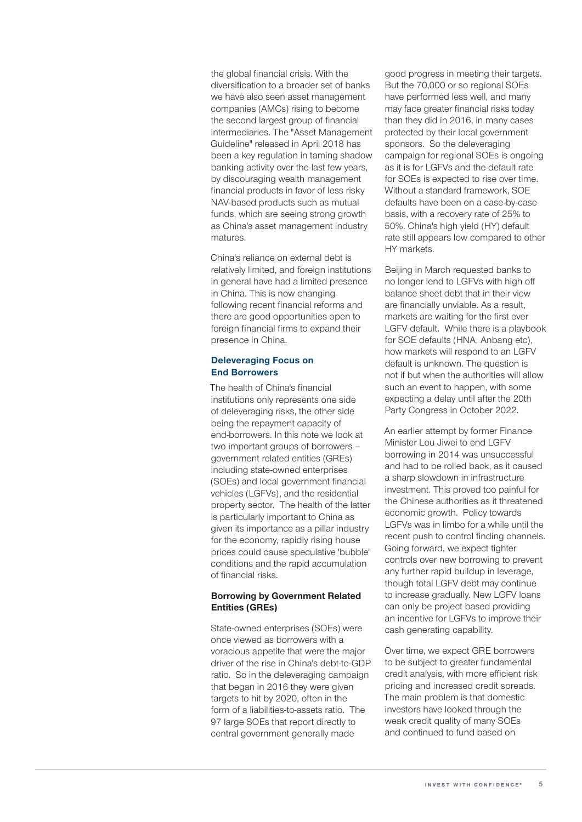the global financial crisis. With the diversification to a broader set of banks we have also seen asset management companies (AMCs) rising to become the second largest group of financial intermediaries. The "Asset Management Guideline" released in April 2018 has been a key regulation in taming shadow banking activity over the last few years, by discouraging wealth management financial products in favor of less risky NAV-based products such as mutual funds, which are seeing strong growth as China's asset management industry matures.

China's reliance on external debt is relatively limited, and foreign institutions in general have had a limited presence in China. This is now changing following recent financial reforms and there are good opportunities open to foreign financial firms to expand their presence in China.

#### Deleveraging Focus on End Borrowers

The health of China's financial institutions only represents one side of deleveraging risks, the other side being the repayment capacity of end-borrowers. In this note we look at two important groups of borrowers government related entities (GREs) including state-owned enterprises (SOEs) and local government financial vehicles (LGFVs), and the residential property sector. The health of the latter is particularly important to China as given its importance as a pillar industry for the economy, rapidly rising house prices could cause speculative 'bubble' conditions and the rapid accumulation of financial risks.

#### Borrowing by Government Related Entities (GREs)

State-owned enterprises (SOEs) were once viewed as borrowers with a voracious appetite that were the major driver of the rise in China's debt-to-GDP ratio. So in the deleveraging campaign that began in 2016 they were given targets to hit by 2020, often in the form of a liabilities-to-assets ratio. The 97 large SOEs that report directly to central government generally made

good progress in meeting their targets. But the 70,000 or so regional SOEs have performed less well, and many may face greater financial risks today than they did in 2016, in many cases protected by their local government sponsors. So the deleveraging campaign for regional SOEs is ongoing as it is for LGFVs and the default rate for SOEs is expected to rise over time. Without a standard framework, SOE defaults have been on a case-by-case basis, with a recovery rate of 25% to 50%. China's high yield (HY) default rate still appears low compared to other HY markets.

Beijing in March requested banks to no longer lend to LGFVs with high off balance sheet debt that in their view are financially unviable. As a result, markets are waiting for the first ever LGFV default. While there is a playbook for SOE defaults (HNA, Anbang etc), how markets will respond to an LGFV default is unknown. The question is not if but when the authorities will allow such an event to happen, with some expecting a delay until after the 20th Party Congress in October 2022.

An earlier attempt by former Finance Minister Lou Jiwei to end LGFV borrowing in 2014 was unsuccessful and had to be rolled back, as it caused a sharp slowdown in infrastructure investment. This proved too painful for the Chinese authorities as it threatened economic growth. Policy towards LGFVs was in limbo for a while until the recent push to control finding channels. Going forward, we expect tighter controls over new borrowing to prevent any further rapid buildup in leverage, though total LGFV debt may continue to increase gradually. New LGFV loans can only be project based providing an incentive for LGFVs to improve their cash generating capability.

Over time, we expect GRE borrowers to be subject to greater fundamental credit analysis, with more efficient risk pricing and increased credit spreads. The main problem is that domestic investors have looked through the weak credit quality of many SOEs and continued to fund based on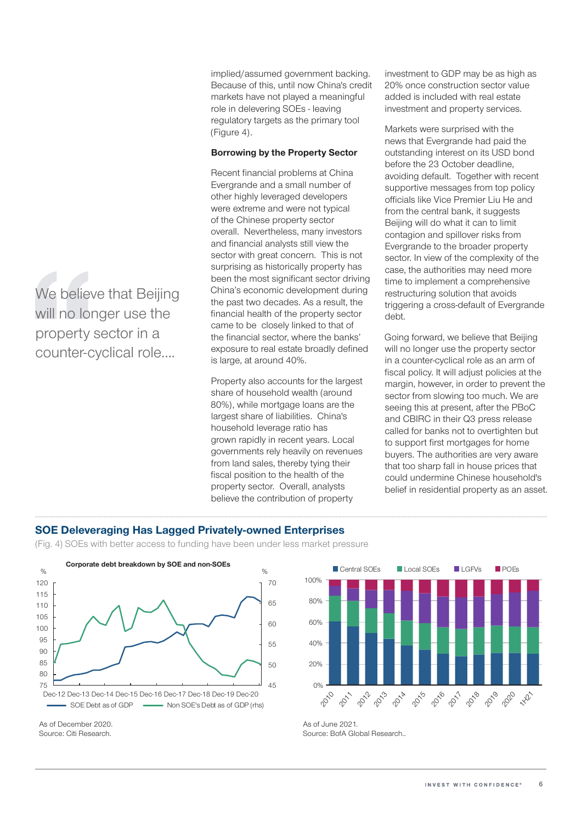implied/assumed government backing. Because of this, until now China's credit markets have not played a meaningful role in delevering SOEs - leaving regulatory targets as the primary tool (Figure 4).

#### Borrowing by the Property Sector

Recent financial problems at China Evergrande and a small number of other highly leveraged developers were extreme and were not typical of the Chinese property sector overall. Nevertheless, many investors and financial analysts still view the sector with great concern. This is not surprising as historically property has been the most significant sector driving China's economic development during the past two decades. As a result, the financial health of the property sector came to be closely linked to that of the financial sector, where the banks' exposure to real estate broadly defined is large, at around 40%.

Property also accounts for the largest share of household wealth (around 80%), while mortgage loans are the largest share of liabilities. China's household leverage ratio has grown rapidly in recent years. Local governments rely heavily on revenues from land sales, thereby tying their fiscal position to the health of the property sector. Overall, analysts believe the contribution of property

investment to GDP may be as high as 20% once construction sector value added is included with real estate investment and property services.

Markets were surprised with the news that Evergrande had paid the outstanding interest on its USD bond before the 23 October deadline, avoiding default. Together with recent supportive messages from top policy officials like Vice Premier Liu He and from the central bank, it suggests Beijing will do what it can to limit contagion and spillover risks from Evergrande to the broader property sector. In view of the complexity of the case, the authorities may need more time to implement a comprehensive restructuring solution that avoids triggering a cross-default of Evergrande debt.

Going forward, we believe that Beijing will no longer use the property sector in a counter-cyclical role as an arm of fiscal policy. It will adjust policies at the margin, however, in order to prevent the sector from slowing too much. We are seeing this at present, after the PBoC and CBIRC in their Q3 press release called for banks not to overtighten but to support first mortgages for home buyers. The authorities are very aware that too sharp fall in house prices that could undermine Chinese household's belief in residential property as an asset.

## SOE Deleveraging Has Lagged Privately-owned Enterprises

(Fig. 4) SOEs with better access to funding have been under less market pressure



As of December 2020. As of June 2021.



Source: Citi Research. Source: Citi Research.

We believe that Beijing will no longer use the property sector in a counter-cyclical role….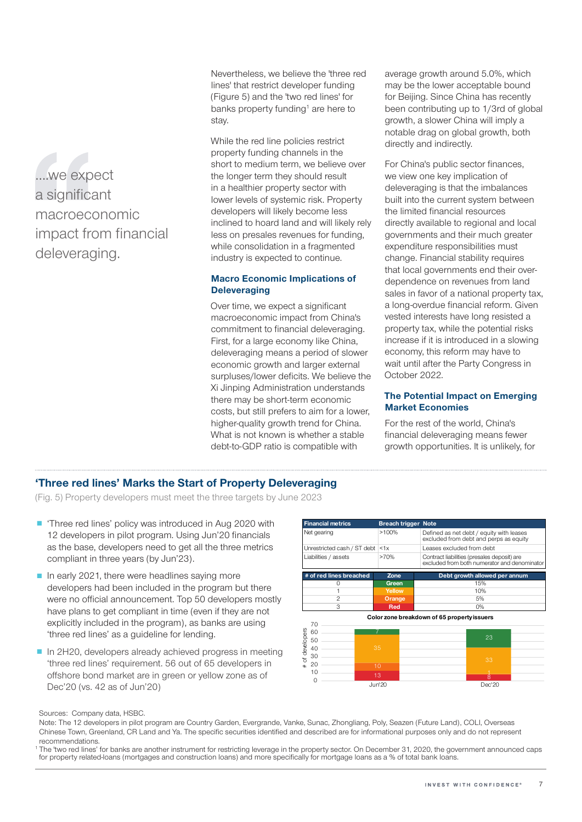….we expect a significant macroeconomic impact from financial deleveraging.

Nevertheless, we believe the 'three red lines' that restrict developer funding (Figure 5) and the 'two red lines' for banks property funding<sup>1</sup> are here to stay.

While the red line policies restrict property funding channels in the short to medium term, we believe over the longer term they should result in a healthier property sector with lower levels of systemic risk. Property developers will likely become less inclined to hoard land and will likely rely less on presales revenues for funding, while consolidation in a fragmented industry is expected to continue.

### Macro Economic Implications of **Deleveraging**

Over time, we expect a significant macroeconomic impact from China's commitment to financial deleveraging. First, for a large economy like China, deleveraging means a period of slower economic growth and larger external surpluses/lower deficits. We believe the Xi Jinping Administration understands there may be short-term economic costs, but still prefers to aim for a lower, higher-quality growth trend for China. What is not known is whether a stable debt-to-GDP ratio is compatible with

average growth around 5.0%, which may be the lower acceptable bound for Beijing. Since China has recently been contributing up to 1/3rd of global growth, a slower China will imply a notable drag on global growth, both directly and indirectly.

For China's public sector finances, we view one key implication of deleveraging is that the imbalances built into the current system between the limited financial resources directly available to regional and local governments and their much greater expenditure responsibilities must change. Financial stability requires that local governments end their overdependence on revenues from land sales in favor of a national property tax, a long-overdue financial reform. Given vested interests have long resisted a property tax, while the potential risks increase if it is introduced in a slowing economy, this reform may have to wait until after the Party Congress in October 2022.

#### The Potential Impact on Emerging Market Economies

For the rest of the world, China's financial deleveraging means fewer growth opportunities. It is unlikely, for

## 'Three red lines' Marks the Start of Property Deleveraging

(Fig. 5) Property developers must meet the three targets by June 2023

- 'Three red lines' policy was introduced in Aug 2020 with 12 developers in pilot program. Using Jun'20 financials as the base, developers need to get all the three metrics compliant in three years (by Jun'23).
- In early 2021, there were headlines saying more developers had been included in the program but there were no official announcement. Top 50 developers mostly have plans to get compliant in time (even if they are not explicitly included in the program), as banks are using 'three red lines' as a guideline for lending.
- In 2H20, developers already achieved progress in meeting 'three red lines' requirement. 56 out of 65 developers in offshore bond market are in green or yellow zone as of Dec'20 (vs. 42 as of Jun'20)

| >100%  | Defined as net debt / equity with leases<br>excluded from debt and perps as equity          |
|--------|---------------------------------------------------------------------------------------------|
| < 1x   | Leases excluded from debt                                                                   |
| >70%   | Contract liabilities (presales deposit) are<br>excluded from both numerator and denominator |
| Zone   | Debt growth allowed per annum                                                               |
| Green  | 15%                                                                                         |
| Yellow | 10%                                                                                         |
| Orange | 5%                                                                                          |
| Red    | 0%                                                                                          |
|        | <b>Breach trigger Note</b>                                                                  |

Color zone breakdown of 65 propertyissuers



Sources: Company data, HSBC.

Note: The 12 developers in pilot program are Country Garden, Evergrande, Vanke, Sunac, Zhongliang, Poly, Seazen (Future Land), COLI, Overseas Chinese Town, Greenland, CR Land and Ya. The specific securities identified and described are for informational purposes only and do not represent recommendations.

The 'two red lines' for banks are another instrument for restricting leverage in the property sector. On December 31, 2020, the government announced caps for property related-loans (mortgages and construction loans) and more specifically for mortgage loans as a % of total bank loans.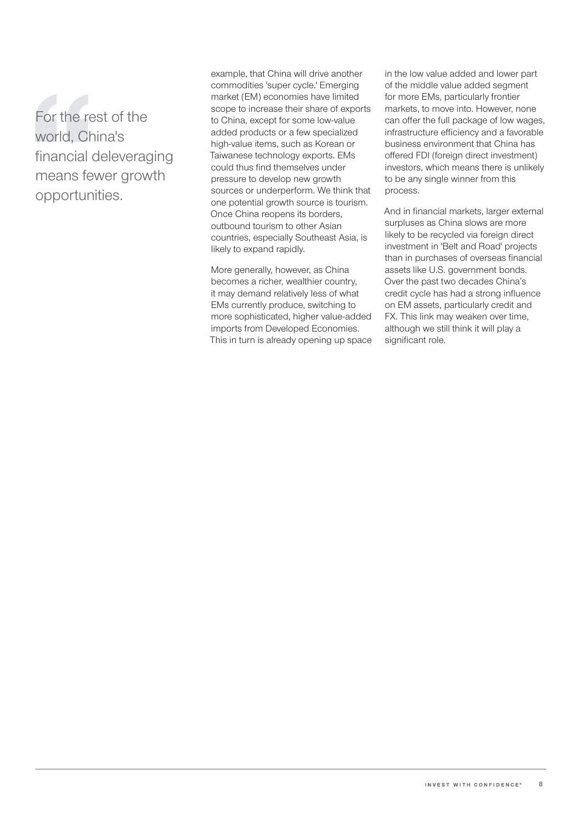For the rest of the world, China's financial deleveraging means fewer growth opportunities.

example, that China will drive another commodities 'super cycle.' Emerging market (EM) economies have limited scope to increase their share of exports to China, except for some low-value added products or a few specialized high-value items, such as Korean or Taiwanese technology exports. EMs could thus find themselves under pressure to develop new growth sources or underperform. We think that one potential growth source is tourism. Once China reopens its borders, outbound tourism to other Asian countries, especially Southeast Asia, is likely to expand rapidly.

More generally, however, as China becomes a richer, wealthier country, it may demand relatively less of what EMs currently produce, switching to more sophisticated, higher value-added imports from Developed Economies. This in turn is already opening up space in the low value added and lower part of the middle value added segment for more EMs, particularly frontier markets, to move into. However, none can offer the full package of low wages, infrastructure efficiency and a favorable business environment that China has offered FDI (foreign direct investment) investors, which means there is unlikely to be any single winner from this process.

And in financial markets, larger external surpluses as China slows are more likely to be recycled via foreign direct investment in 'Belt and Road' projects than in purchases of overseas financial assets like U.S. government bonds. Over the past two decades China's credit cycle has had a strong influence on EM assets, particularly credit and FX. This link may weaken over time, although we still think it will play a significant role.